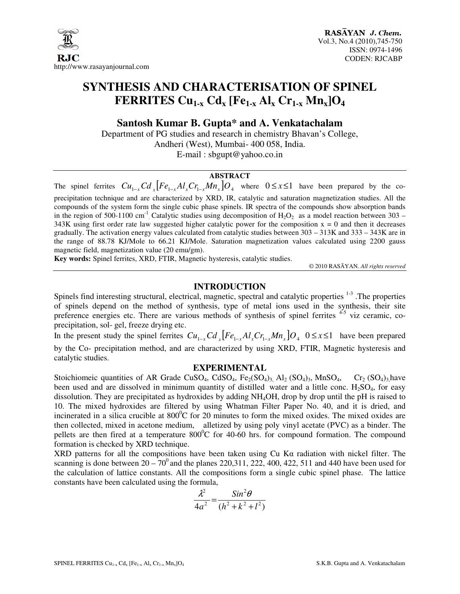

# **SYNTHESIS AND CHARACTERISATION OF SPINEL FERRITES Cu1-x Cdx [Fe1-x Alx Cr1-x Mnx]O<sup>4</sup>**

**Santosh Kumar B. Gupta\* and A. Venkatachalam** 

Department of PG studies and research in chemistry Bhavan's College, Andheri (West), Mumbai- 400 058, India. E-mail : sbgupt@yahoo.co.in

# **ABSTRACT**

The spinel ferrites  $Cu_{1-x}Cd_x[Fe_{1-x}Al_xCr_{1-x}Mn_x]O_4$  where  $0 \le x \le 1$  have been prepared by the coprecipitation technique and are characterized by XRD, IR, catalytic and saturation magnetization studies. All the compounds of the system form the single cubic phase spinels. IR spectra of the compounds show absorption bands in the region of 500-1100 cm<sup>-1</sup> Catalytic studies using decomposition of  $H_2O_2$  as a model reaction between 303 – 343K using first order rate law suggested higher catalytic power for the composition  $x = 0$  and then it decreases gradually. The activation energy values calculated from catalytic studies between 303 – 313K and 333 – 343K are in the range of 88.78 KJ/Mole to 66.21 KJ/Mole. Saturation magnetization values calculated using 2200 gauss magnetic field, magnetization value (20 emu/gm).

**Key words:** Spinel ferrites, XRD, FTIR, Magnetic hysteresis, catalytic studies.

© 2010 RASĀYAN. *All rights reserved*

## **INTRODUCTION**

Spinels find interesting structural, electrical, magnetic, spectral and catalytic properties <sup>1-3</sup>. The properties of spinels depend on the method of synthesis, type of metal ions used in the synthesis, their site preference energies etc. There are various methods of synthesis of spinel ferrites <sup>4-5</sup> viz ceramic, coprecipitation, sol- gel, freeze drying etc.

In the present study the spinel ferrites  $Cu_{1-x}Cd$   $[Fe_{1-x}Al_xCr_{1-x}Mn_x]O_4$  0 ≤ *x* ≤1 have been prepared by the Co- precipitation method, and are characterized by using XRD, FTIR, Magnetic hysteresis and catalytic studies.

#### **EXPERIMENTAL**

Stoichiomeic quantities of AR Grade CuSO<sub>4</sub>, CdSO<sub>4</sub>, Fe<sub>2</sub>(SO<sub>4</sub>)<sub>3</sub>, Al<sub>2</sub> (SO<sub>4</sub>)<sub>3</sub>, MnSO<sub>4</sub>, Cr<sub>2</sub> (SO<sub>4</sub>)<sub>3</sub>,have been used and are dissolved in minimum quantity of distilled water and a little conc.  $H_2SO_4$ , for easy dissolution. They are precipitated as hydroxides by adding NH4OH, drop by drop until the pH is raised to 10. The mixed hydroxides are filtered by using Whatman Filter Paper No. 40, and it is dried, and incinerated in a silica crucible at  $800^{\circ}$ C for 20 minutes to form the mixed oxides. The mixed oxides are then collected, mixed in acetone medium, alletized by using poly vinyl acetate (PVC) as a binder. The pellets are then fired at a temperature  $800^{\circ}$ C for 40-60 hrs. for compound formation. The compound formation is checked by XRD technique.

XRD patterns for all the compositions have been taken using Cu Kα radiation with nickel filter. The scanning is done between  $20 - 70^{\circ}$  and the planes 220,311, 222, 400, 422, 511 and 440 have been used for the calculation of lattice constants. All the compositions form a single cubic spinel phase. The lattice constants have been calculated using the formula,

$$
\frac{\lambda^2}{4a^2} = \frac{\sin^2\theta}{(h^2 + k^2 + l^2)}
$$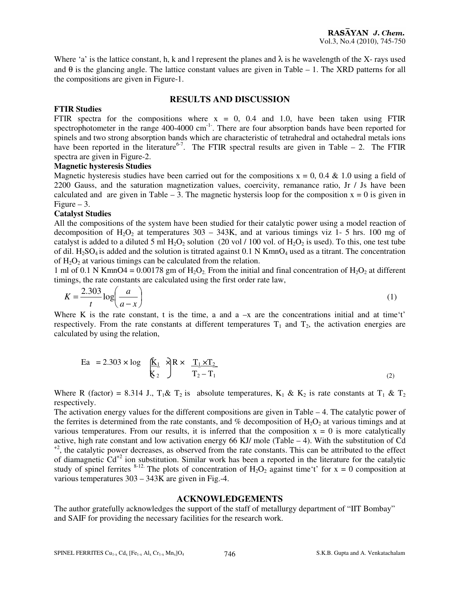Where 'a' is the lattice constant, h, k and l represent the planes and  $\lambda$  is he wavelength of the X- rays used and  $\theta$  is the glancing angle. The lattice constant values are given in Table – 1. The XRD patterns for all the compositions are given in Figure-1.

## **RESULTS AND DISCUSSION**

#### **FTIR Studies**

FTIR spectra for the compositions where  $x = 0$ , 0.4 and 1.0, have been taken using FTIR spectrophotometer in the range  $400-4000$  cm<sup>-1-</sup>. There are four absorption bands have been reported for spinels and two strong absorption bands which are characteristic of tetrahedral and octahedral metals ions have been reported in the literature<sup>6-7</sup>. The FTIR spectral results are given in Table – 2. The FTIR spectra are given in Figure-2.

#### **Magnetic hysteresis Studies**

Magnetic hysteresis studies have been carried out for the compositions  $x = 0$ , 0.4 & 1.0 using a field of 2200 Gauss, and the saturation magnetization values, coercivity, remanance ratio, Jr / Js have been calculated and are given in Table – 3. The magnetic hystersis loop for the composition  $x = 0$  is given in Figure  $-3$ .

#### **Catalyst Studies**

All the compositions of the system have been studied for their catalytic power using a model reaction of decomposition of  $H_2O_2$  at temperatures 303 – 343K, and at various timings viz 1- 5 hrs. 100 mg of catalyst is added to a diluted 5 ml  $H_2O_2$  solution (20 vol / 100 vol. of  $H_2O_2$  is used). To this, one test tube of dil. H<sub>2</sub>SO<sub>4</sub> is added and the solution is titrated against 0.1 N KmnO<sub>4</sub> used as a titrant. The concentration of  $H_2O_2$  at various timings can be calculated from the relation.

1 ml of 0.1 N KmnO4 = 0.00178 gm of  $H_2O_2$ . From the initial and final concentration of  $H_2O_2$  at different timings, the rate constants are calculated using the first order rate law,

$$
K = \frac{2.303}{t} \log \left( \frac{a}{a - x} \right) \tag{1}
$$

Where K is the rate constant, t is the time, a and a  $-x$  are the concentrations initial and at time't' respectively. From the rate constants at different temperatures  $T_1$  and  $T_2$ , the activation energies are calculated by using the relation,

$$
\text{Ea} = 2.303 \times \log \left( \frac{\mathbf{K}_1}{\mathbf{K}_2} \right) \times \frac{\mathbf{T}_1 \times \mathbf{T}_2}{\mathbf{T}_2 - \mathbf{T}_1}
$$
 (2)

Where R (factor) = 8.314 J.,  $T_1 \& T_2$  is absolute temperatures,  $K_1 \& K_2$  is rate constants at  $T_1 \& T_2$ respectively.

The activation energy values for the different compositions are given in Table  $-4$ . The catalytic power of the ferrites is determined from the rate constants, and  $\%$  decomposition of H<sub>2</sub>O<sub>2</sub> at various timings and at various temperatures. From our results, it is inferred that the composition  $x = 0$  is more catalytically active, high rate constant and low activation energy 66 KJ/ mole (Table – 4). With the substitution of Cd <sup>+2</sup>, the catalytic power decreases, as observed from the rate constants. This can be attributed to the effect of diamagnetic Cd+2 ion substitution. Similar work has been a reported in the literature for the catalytic study of spinel ferrites <sup>8-12.</sup> The plots of concentration of H<sub>2</sub>O<sub>2</sub> against time't' for  $x = 0$  composition at various temperatures 303 – 343K are given in Fig.-4.

#### **ACKNOWLEDGEMENTS**

The author gratefully acknowledges the support of the staff of metallurgy department of "IIT Bombay" and SAIF for providing the necessary facilities for the research work.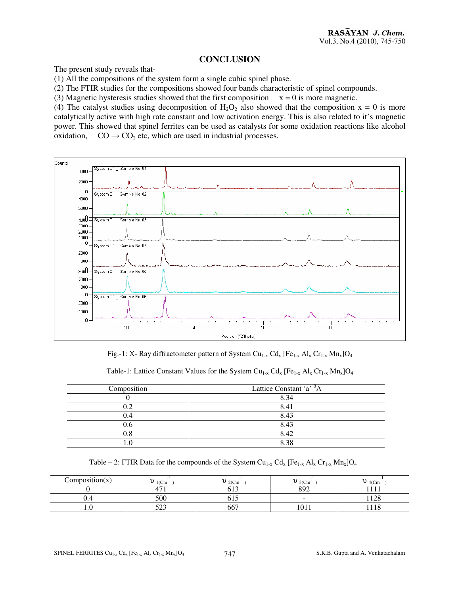#### **CONCLUSION**

The present study reveals that-

(1) All the compositions of the system form a single cubic spinel phase.

(2) The FTIR studies for the compositions showed four bands characteristic of spinel compounds.

(3) Magnetic hysteresis studies showed that the first composition  $x = 0$  is more magnetic.

(4) The catalyst studies using decomposition of  $H_2O_2$  also showed that the composition  $x = 0$  is more catalytically active with high rate constant and low activation energy. This is also related to it's magnetic power. This showed that spinel ferrites can be used as catalysts for some oxidation reactions like alcohol oxidation,  $CO \rightarrow CO_2$  etc, which are used in industrial processes.



Fig.-1: X- Ray diffractometer pattern of System Cu<sub>1-x</sub> Cd<sub>x</sub> [Fe<sub>1-x</sub> Al<sub>x</sub> Cr<sub>1-x</sub> Mn<sub>x</sub>]O<sub>4</sub>

Table-1: Lattice Constant Values for the System Cu<sub>1-x</sub> Cd<sub>x</sub> [Fe<sub>1-x</sub> Al<sub>x</sub> Cr<sub>1-x</sub> Mn<sub>x</sub>]O<sub>4</sub>

| Composition | Lattice Constant 'a' <sup>0</sup> A |
|-------------|-------------------------------------|
|             | 8.34                                |
| ר ו         | 8.41                                |
| 1.4         | 8.43                                |
| 1.6         | 8.43                                |
|             | 8.42                                |
|             | 8.38                                |

Table – 2: FTIR Data for the compounds of the System  $Cu_{1-x} Cd_{x} [Fe_{1-x} Al_{x} Cr_{1-x} Mn_{x}]O_{4}$ 

| $\cdot$<br>\omposition(x) | $\ddot{\phantom{a}}$<br>$1$ (Cm      | $2$ (Cm                | $3$ (Cm           | $4$ (Cm      |
|---------------------------|--------------------------------------|------------------------|-------------------|--------------|
|                           | $\overline{\phantom{0}}$<br>-<br>. . | $\sim$ 1 $\sim$<br>∪⊥⊃ | 000               |              |
| v.4                       | 500                                  | ∪⊥⊃                    | $\sim$            | 1.100<br>140 |
| 1.U                       | $\sim$ $\sim$ $\sim$<br>ر بے ر       | 667                    | $\sim$<br>1 U L L | 1110         |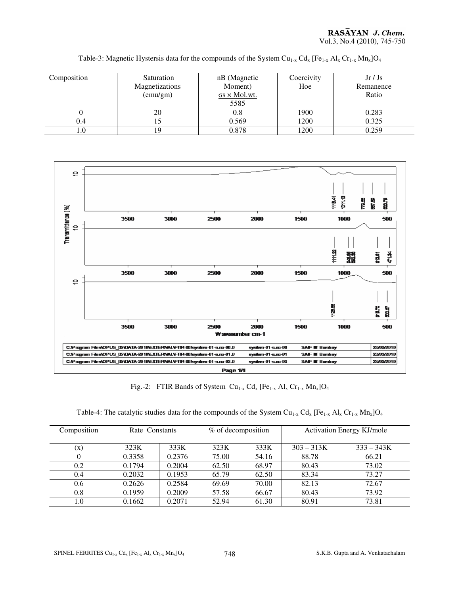| Composition | Saturation<br>Magnetizations<br>(emu/gm) | nB (Magnetic<br>Moment)<br>$\sigma s \times$ Mol.wt.<br>5585 | Coercivity<br>Hoe | Jr/Js<br>Remanence<br>Ratio |
|-------------|------------------------------------------|--------------------------------------------------------------|-------------------|-----------------------------|
|             | 20                                       | 0.8                                                          | 1900              | 0.283                       |
| 0.4         |                                          | 0.569                                                        | 1200              | 0.325                       |
| L.O         | 19                                       | 0.878                                                        | 1200              | 0.259                       |

Table-3: Magnetic Hystersis data for the compounds of the System  $Cu_{1-x} Cd_{x} [Fe_{1-x} Al_{x} Cr_{1-x} Mn_{x}]O_{4}$ 



Fig.-2: FTIR Bands of System  $Cu_{1-x} Cd_x [Fe_{1-x} Al_x Cr_{1-x} Mn_x]O_4$ 

| Table-4: The catalytic studies data for the compounds of the System $Cu_{1-x} Cd_x [Fe_{1-x} Al_x Cr_{1-x} Mn_x]O_4$ |  |  |  |  |
|----------------------------------------------------------------------------------------------------------------------|--|--|--|--|
|----------------------------------------------------------------------------------------------------------------------|--|--|--|--|

| Composition    | Rate Constants |        | % of decomposition |       | <b>Activation Energy KJ/mole</b> |              |
|----------------|----------------|--------|--------------------|-------|----------------------------------|--------------|
|                |                |        |                    |       |                                  |              |
|                |                |        |                    |       |                                  |              |
| $(\mathbf{x})$ | 323K           | 333K   | 323K               | 333K  | $303 - 313K$                     | $333 - 343K$ |
|                | 0.3358         | 0.2376 | 75.00              | 54.16 | 88.78                            | 66.21        |
| 0.2            | 0.1794         | 0.2004 | 62.50              | 68.97 | 80.43                            | 73.02        |
| 0.4            | 0.2032         | 0.1953 | 65.79              | 62.50 | 83.34                            | 73.27        |
| 0.6            | 0.2626         | 0.2584 | 69.69              | 70.00 | 82.13                            | 72.67        |
| 0.8            | 0.1959         | 0.2009 | 57.58              | 66.67 | 80.43                            | 73.92        |
| 0.1            | 0.1662         | 0.2071 | 52.94              | 61.30 | 80.91                            | 73.81        |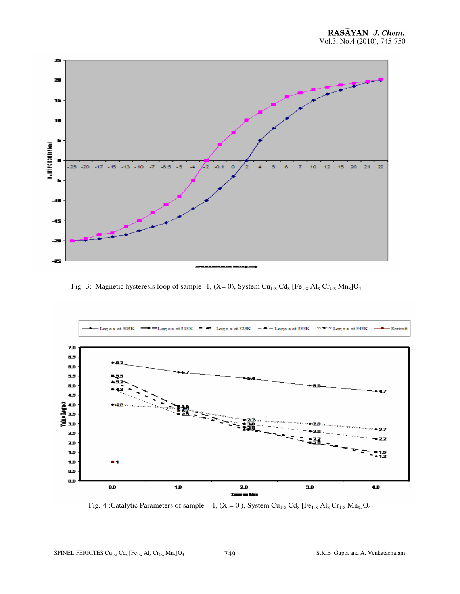

Fig.-3: Magnetic hysteresis loop of sample -1,  $(X= 0)$ , System Cu<sub>1-x</sub> Cd<sub>x</sub> [Fe<sub>1-x</sub> Al<sub>x</sub> Cr<sub>1-x</sub> Mn<sub>x</sub>]O<sub>4</sub>



Fig.-4 :Catalytic Parameters of sample – 1,  $(X = 0)$ , System Cu<sub>1-x</sub> Cd<sub>x</sub> [Fe<sub>1-x</sub> Al<sub>x</sub> Cr<sub>1-x</sub> Mn<sub>x</sub>]O<sub>4</sub>